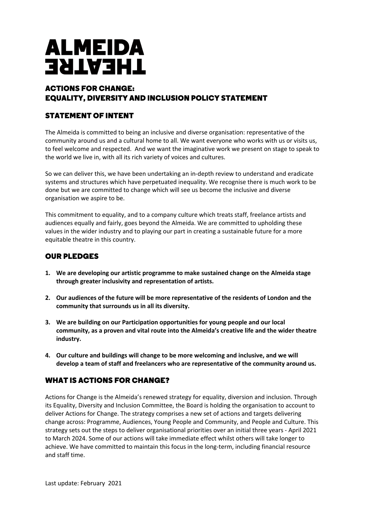# **ALMEIDA THEATRE**

## ACTIONS FOR CHANGE: EQUALITY, DIVERSITY AND INCLUSION POLICY STATEMENT

# STATEMENT OF INTENT

The Almeida is committed to being an inclusive and diverse organisation: representative of the community around us and a cultural home to all. We want everyone who works with us or visits us, to feel welcome and respected. And we want the imaginative work we present on stage to speak to the world we live in, with all its rich variety of voices and cultures.

So we can deliver this, we have been undertaking an in-depth review to understand and eradicate systems and structures which have perpetuated inequality. We recognise there is much work to be done but we are committed to change which will see us become the inclusive and diverse organisation we aspire to be.

This commitment to equality, and to a company culture which treats staff, freelance artists and audiences equally and fairly, goes beyond the Almeida. We are committed to upholding these values in the wider industry and to playing our part in creating a sustainable future for a more equitable theatre in this country.

#### OUR PLEDGES

- **1. We are developing our artistic programme to make sustained change on the Almeida stage through greater inclusivity and representation of artists.**
- **2. Our audiences of the future will be more representative of the residents of London and the community that surrounds us in all its diversity.**
- **3. We are building on our Participation opportunities for young people and our local community, as a proven and vital route into the Almeida's creative life and the wider theatre industry.**
- **4. Our culture and buildings will change to be more welcoming and inclusive, and we will develop a team of staff and freelancers who are representative of the community around us.**

#### WHAT IS ACTIONS FOR CHANGE?

Actions for Change is the Almeida's renewed strategy for equality, diversion and inclusion. Through its Equality, Diversity and Inclusion Committee, the Board is holding the organisation to account to deliver Actions for Change. The strategy comprises a new set of actions and targets delivering change across: Programme, Audiences, Young People and Community, and People and Culture. This strategy sets out the steps to deliver organisational priorities over an initial three years - April 2021 to March 2024. Some of our actions will take immediate effect whilst others will take longer to achieve. We have committed to maintain this focus in the long-term, including financial resource and staff time.